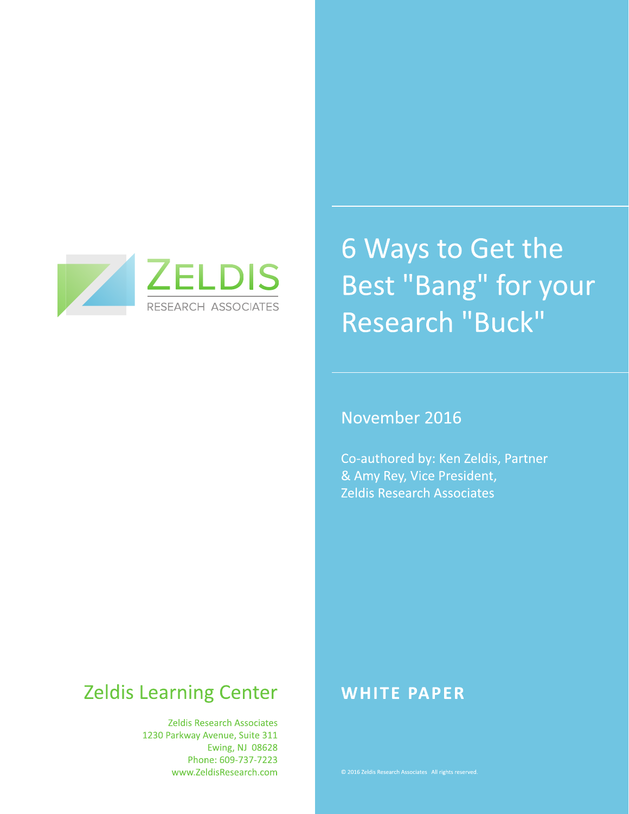

# November 2016

Co-authored by: Ken Zeldis, Partner & Amy Rey, Vice President, **Zeldis Research Associates** 

6 Ways to Get the

**Research "Buck"** 

Best "Bang" for your

# **Zeldis Learning Center**

**Zeldis Research Associates** 1230 Parkway Avenue, Suite 311 Ewing, NJ 08628 Phone: 609-737-7223 www.ZeldisResearch.com

## **WHITE PAPER**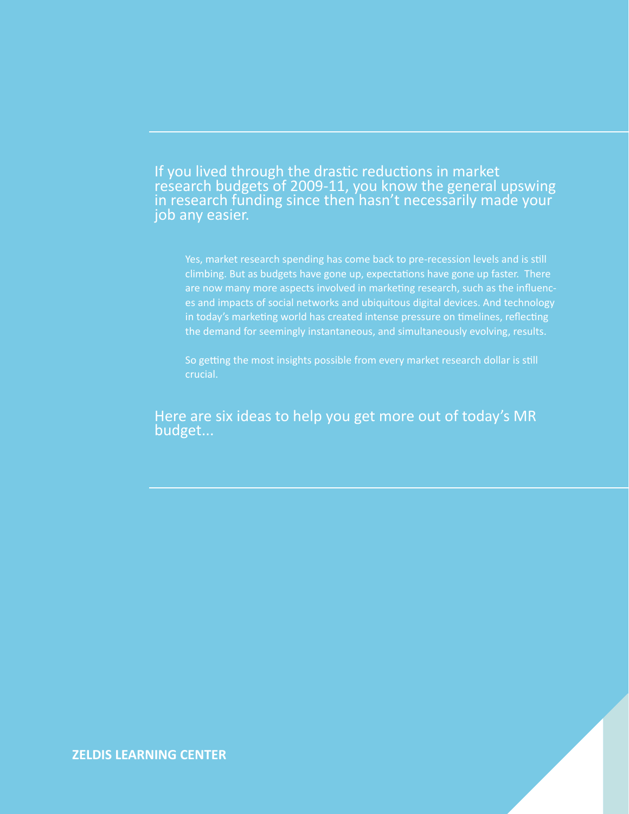If you lived through the drastic reductions in market research budgets of 2009-11, you know the general upswing in research funding since then hasn't necessarily made your job any easier.

Yes, market research spending has come back to pre-recession levels and is still climbing. But as budgets have gone up, expectations have gone up faster. There are now many more aspects involved in marketing research, such as the influences and impacts of social networks and ubiquitous digital devices. And technology in today's marketing world has created intense pressure on timelines, reflecting the demand for seemingly instantaneous, and simultaneously evolving, results.

So getting the most insights possible from every market research dollar is still crucial.

Here are six ideas to help you get more out of today's MR budget...

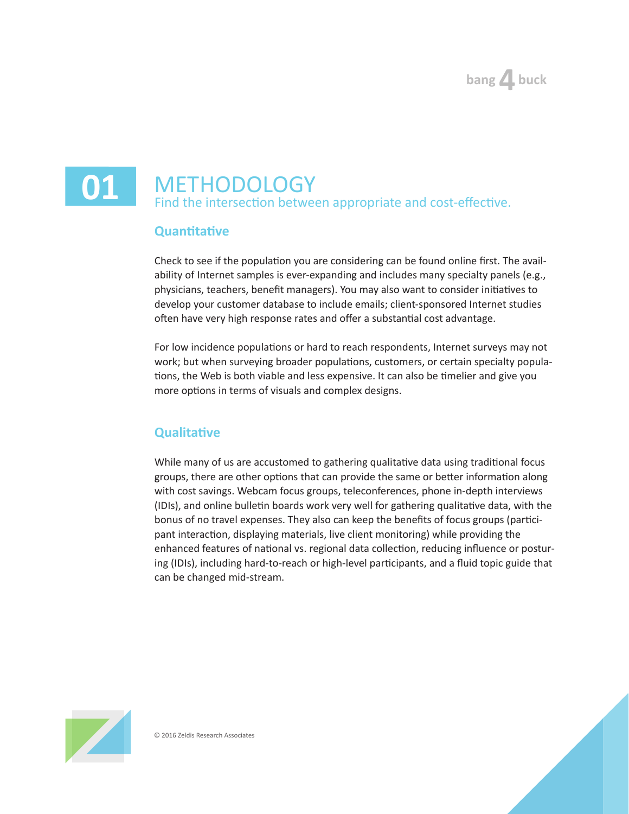# **01** METHODOLOGY<br>Find the intersection between Find the intersection between appropriate and cost-effective.

## **Quantitative**

Check to see if the population you are considering can be found online first. The availability of Internet samples is ever-expanding and includes many specialty panels (e.g., physicians, teachers, benefit managers). You may also want to consider initiatives to develop your customer database to include emails; client-sponsored Internet studies often have very high response rates and offer a substantial cost advantage.

For low incidence populations or hard to reach respondents, Internet surveys may not work; but when surveying broader populations, customers, or certain specialty populations, the Web is both viable and less expensive. It can also be timelier and give you more options in terms of visuals and complex designs.

## **Qualitative**

While many of us are accustomed to gathering qualitative data using traditional focus groups, there are other options that can provide the same or better information along with cost savings. Webcam focus groups, teleconferences, phone in-depth interviews (IDIs), and online bulletin boards work very well for gathering qualitative data, with the bonus of no travel expenses. They also can keep the benefits of focus groups (participant interaction, displaying materials, live client monitoring) while providing the enhanced features of national vs. regional data collection, reducing influence or posturing (IDIs), including hard-to-reach or high-level participants, and a fluid topic guide that can be changed mid-stream.

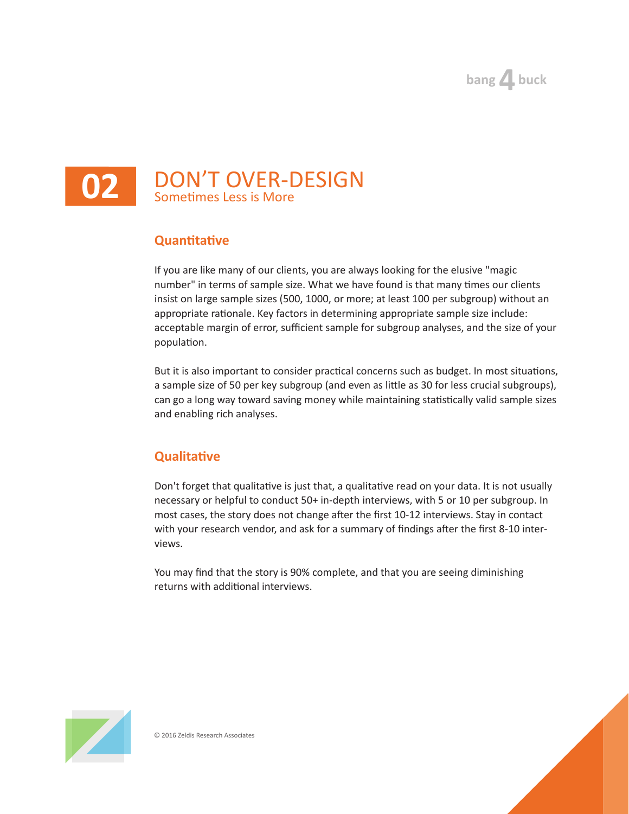# $\mathbf{b}$ ang  $\mathbf{A}$  buck



#### **Quantitative**

If you are like many of our clients, you are always looking for the elusive "magic number" in terms of sample size. What we have found is that many times our clients insist on large sample sizes (500, 1000, or more; at least 100 per subgroup) without an appropriate rationale. Key factors in determining appropriate sample size include: acceptable margin of error, sufficient sample for subgroup analyses, and the size of your population.

But it is also important to consider practical concerns such as budget. In most situations, a sample size of 50 per key subgroup (and even as little as 30 for less crucial subgroups), can go a long way toward saving money while maintaining statistically valid sample sizes and enabling rich analyses.

## **Qualitative**

Don't forget that qualitative is just that, a qualitative read on your data. It is not usually necessary or helpful to conduct 50+ in-depth interviews, with 5 or 10 per subgroup. In most cases, the story does not change after the first 10-12 interviews. Stay in contact with your research vendor, and ask for a summary of findings after the first 8-10 interviews.

You may find that the story is 90% complete, and that you are seeing diminishing returns with additional interviews.

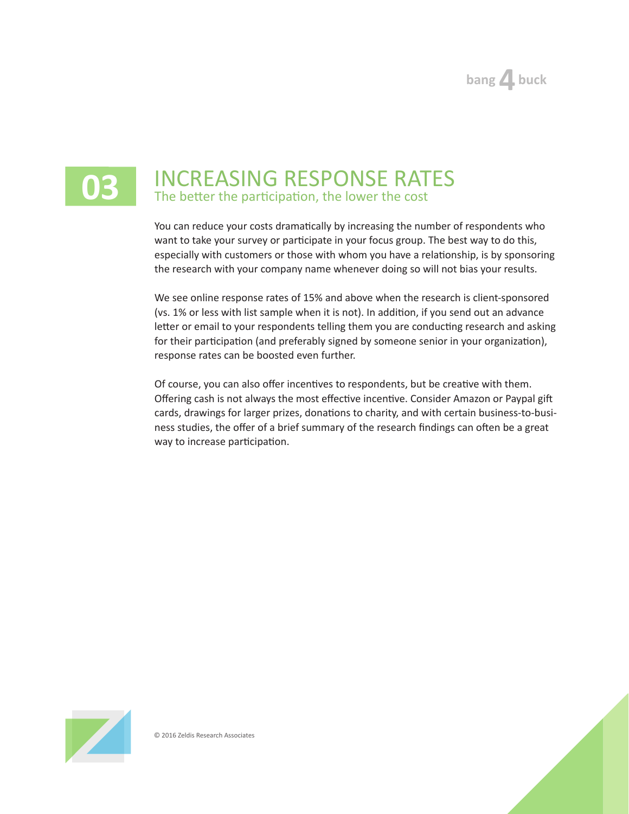

## INCREASING RESPONSE RATES The better the participation, the lower the cost

You can reduce your costs dramatically by increasing the number of respondents who want to take your survey or participate in your focus group. The best way to do this, especially with customers or those with whom you have a relationship, is by sponsoring the research with your company name whenever doing so will not bias your results.

We see online response rates of 15% and above when the research is client-sponsored (vs. 1% or less with list sample when it is not). In addition, if you send out an advance letter or email to your respondents telling them you are conducting research and asking for their participation (and preferably signed by someone senior in your organization), response rates can be boosted even further.

Of course, you can also offer incentives to respondents, but be creative with them. Offering cash is not always the most effective incentive. Consider Amazon or Paypal gift cards, drawings for larger prizes, donations to charity, and with certain business-to-business studies, the offer of a brief summary of the research findings can often be a great way to increase participation.

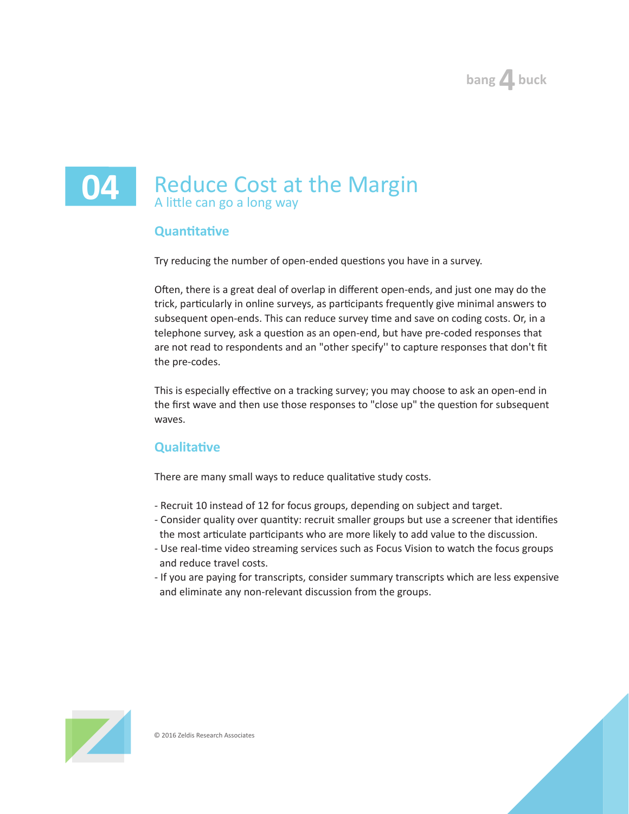# **<b>4**, buck



#### **Quantitative**

Try reducing the number of open-ended questions you have in a survey.

Often, there is a great deal of overlap in different open-ends, and just one may do the trick, particularly in online surveys, as participants frequently give minimal answers to subsequent open-ends. This can reduce survey time and save on coding costs. Or, in a telephone survey, ask a question as an open-end, but have pre-coded responses that are not read to respondents and an "other specify'' to capture responses that don't fit the pre-codes.

This is especially effective on a tracking survey; you may choose to ask an open-end in the first wave and then use those responses to "close up" the question for subsequent waves.

#### **Qualitative**

There are many small ways to reduce qualitative study costs.

- Recruit 10 instead of 12 for focus groups, depending on subject and target.
- Consider quality over quantity: recruit smaller groups but use a screener that identifies the most articulate participants who are more likely to add value to the discussion.
- Use real-time video streaming services such as Focus Vision to watch the focus groups and reduce travel costs.
- If you are paying for transcripts, consider summary transcripts which are less expensive and eliminate any non-relevant discussion from the groups.